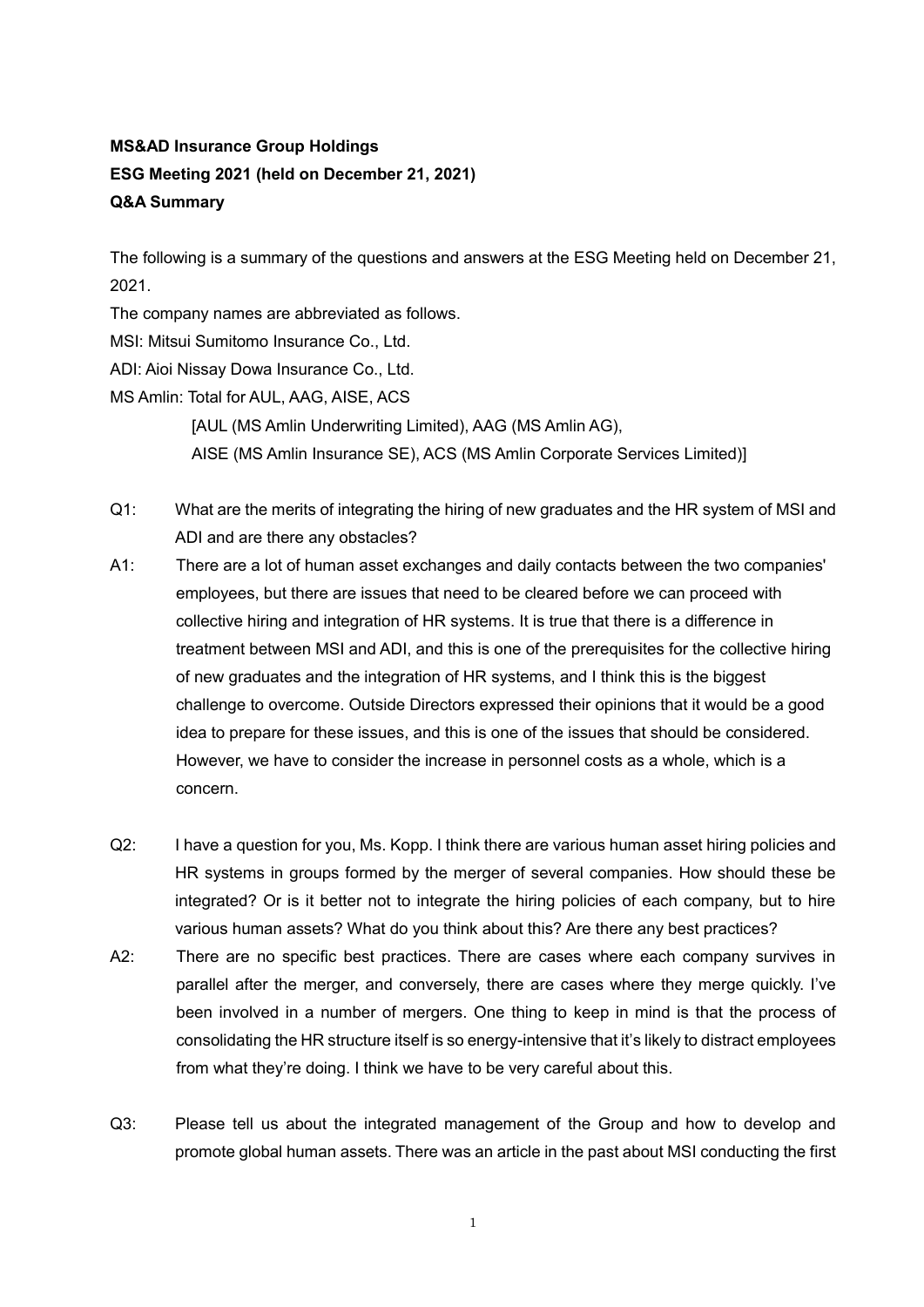## **MS&AD Insurance Group Holdings ESG Meeting 2021 (held on December 21, 2021) Q&A Summary**

The following is a summary of the questions and answers at the ESG Meeting held on December 21, 2021.

The company names are abbreviated as follows.

MSI: Mitsui Sumitomo Insurance Co., Ltd.

ADI: Aioi Nissay Dowa Insurance Co., Ltd.

MS Amlin: Total for AUL, AAG, AISE, ACS

[AUL (MS Amlin Underwriting Limited), AAG (MS Amlin AG), AISE (MS Amlin Insurance SE), ACS (MS Amlin Corporate Services Limited)]

- Q1: What are the merits of integrating the hiring of new graduates and the HR system of MSI and ADI and are there any obstacles?
- A1: There are a lot of human asset exchanges and daily contacts between the two companies' employees, but there are issues that need to be cleared before we can proceed with collective hiring and integration of HR systems. It is true that there is a difference in treatment between MSI and ADI, and this is one of the prerequisites for the collective hiring of new graduates and the integration of HR systems, and I think this is the biggest challenge to overcome. Outside Directors expressed their opinions that it would be a good idea to prepare for these issues, and this is one of the issues that should be considered. However, we have to consider the increase in personnel costs as a whole, which is a concern.
- Q2: I have a question for you, Ms. Kopp. I think there are various human asset hiring policies and HR systems in groups formed by the merger of several companies. How should these be integrated? Or is it better not to integrate the hiring policies of each company, but to hire various human assets? What do you think about this? Are there any best practices?
- A2: There are no specific best practices. There are cases where each company survives in parallel after the merger, and conversely, there are cases where they merge quickly. I've been involved in a number of mergers. One thing to keep in mind is that the process of consolidating the HR structure itself is so energy-intensive that it's likely to distract employees from what they're doing. I think we have to be very careful about this.
- Q3: Please tell us about the integrated management of the Group and how to develop and promote global human assets. There was an article in the past about MSI conducting the first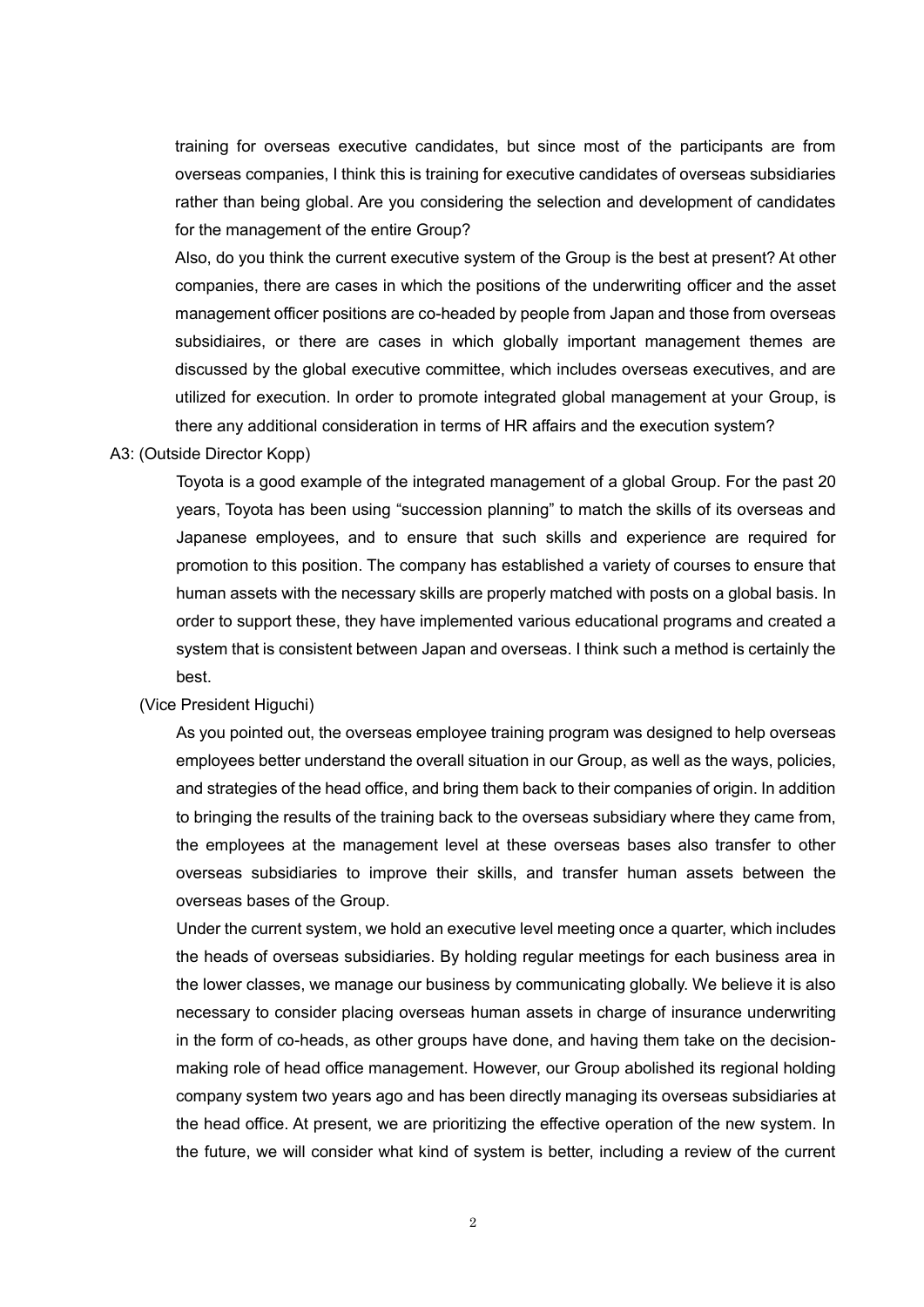training for overseas executive candidates, but since most of the participants are from overseas companies, I think this is training for executive candidates of overseas subsidiaries rather than being global. Are you considering the selection and development of candidates for the management of the entire Group?

Also, do you think the current executive system of the Group is the best at present? At other companies, there are cases in which the positions of the underwriting officer and the asset management officer positions are co-headed by people from Japan and those from overseas subsidiaires, or there are cases in which globally important management themes are discussed by the global executive committee, which includes overseas executives, and are utilized for execution. In order to promote integrated global management at your Group, is there any additional consideration in terms of HR affairs and the execution system?

## A3: (Outside Director Kopp)

Toyota is a good example of the integrated management of a global Group. For the past 20 years, Toyota has been using "succession planning" to match the skills of its overseas and Japanese employees, and to ensure that such skills and experience are required for promotion to this position. The company has established a variety of courses to ensure that human assets with the necessary skills are properly matched with posts on a global basis. In order to support these, they have implemented various educational programs and created a system that is consistent between Japan and overseas. I think such a method is certainly the best.

## (Vice President Higuchi)

As you pointed out, the overseas employee training program was designed to help overseas employees better understand the overall situation in our Group, as well as the ways, policies, and strategies of the head office, and bring them back to their companies of origin. In addition to bringing the results of the training back to the overseas subsidiary where they came from, the employees at the management level at these overseas bases also transfer to other overseas subsidiaries to improve their skills, and transfer human assets between the overseas bases of the Group.

Under the current system, we hold an executive level meeting once a quarter, which includes the heads of overseas subsidiaries. By holding regular meetings for each business area in the lower classes, we manage our business by communicating globally. We believe it is also necessary to consider placing overseas human assets in charge of insurance underwriting in the form of co-heads, as other groups have done, and having them take on the decisionmaking role of head office management. However, our Group abolished its regional holding company system two years ago and has been directly managing its overseas subsidiaries at the head office. At present, we are prioritizing the effective operation of the new system. In the future, we will consider what kind of system is better, including a review of the current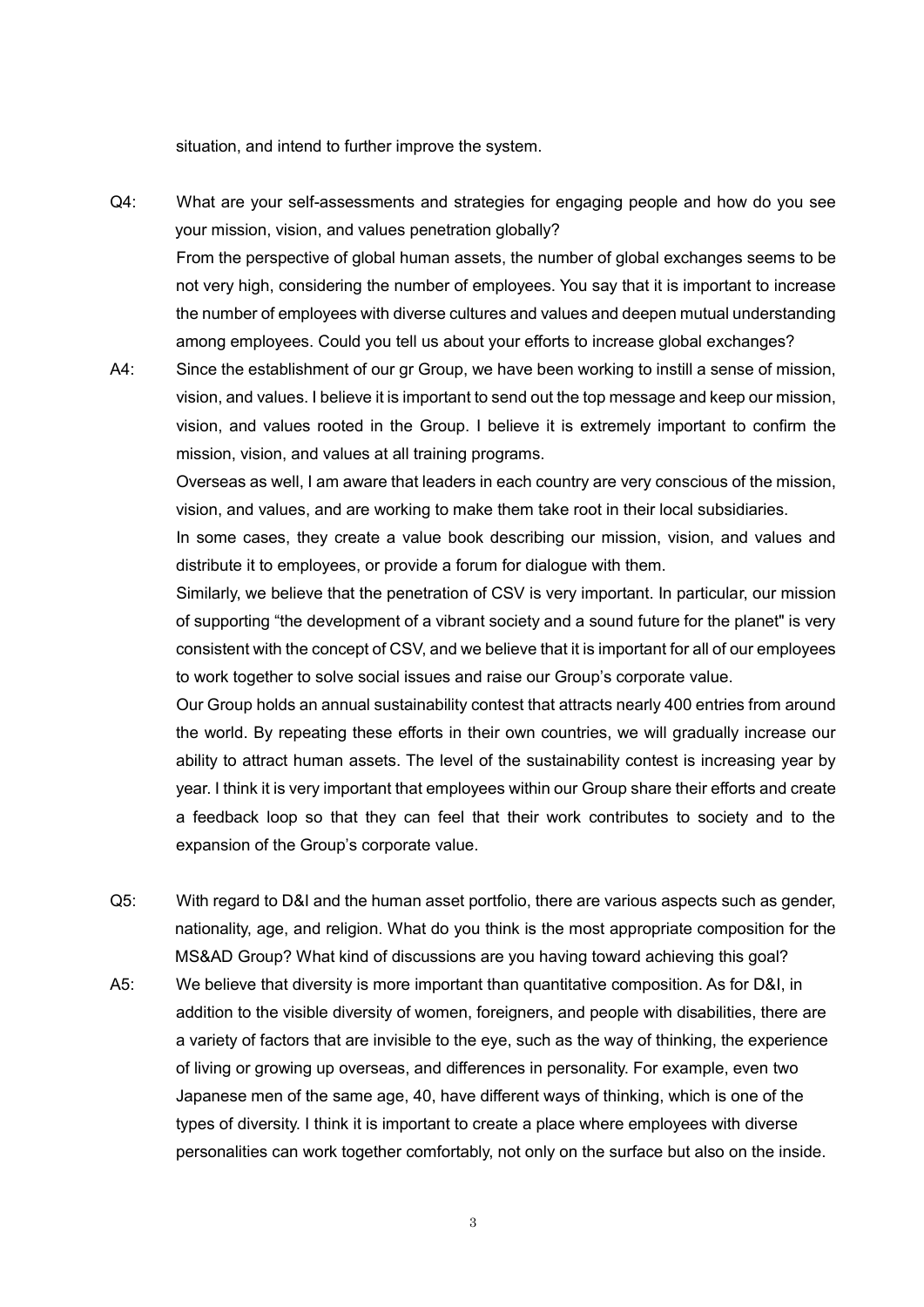situation, and intend to further improve the system.

- Q4: What are your self-assessments and strategies for engaging people and how do you see your mission, vision, and values penetration globally? From the perspective of global human assets, the number of global exchanges seems to be not very high, considering the number of employees. You say that it is important to increase the number of employees with diverse cultures and values and deepen mutual understanding among employees. Could you tell us about your efforts to increase global exchanges?
- A4: Since the establishment of our gr Group, we have been working to instill a sense of mission, vision, and values. I believe it is important to send out the top message and keep our mission, vision, and values rooted in the Group. I believe it is extremely important to confirm the mission, vision, and values at all training programs.

Overseas as well, I am aware that leaders in each country are very conscious of the mission, vision, and values, and are working to make them take root in their local subsidiaries.

In some cases, they create a value book describing our mission, vision, and values and distribute it to employees, or provide a forum for dialogue with them.

Similarly, we believe that the penetration of CSV is very important. In particular, our mission of supporting "the development of a vibrant society and a sound future for the planet" is very consistent with the concept of CSV, and we believe that it is important for all of our employees to work together to solve social issues and raise our Group's corporate value.

Our Group holds an annual sustainability contest that attracts nearly 400 entries from around the world. By repeating these efforts in their own countries, we will gradually increase our ability to attract human assets. The level of the sustainability contest is increasing year by year. I think it is very important that employees within our Group share their efforts and create a feedback loop so that they can feel that their work contributes to society and to the expansion of the Group's corporate value.

- Q5: With regard to D&I and the human asset portfolio, there are various aspects such as gender, nationality, age, and religion. What do you think is the most appropriate composition for the MS&AD Group? What kind of discussions are you having toward achieving this goal?
- A5: We believe that diversity is more important than quantitative composition. As for D&I, in addition to the visible diversity of women, foreigners, and people with disabilities, there are a variety of factors that are invisible to the eye, such as the way of thinking, the experience of living or growing up overseas, and differences in personality. For example, even two Japanese men of the same age, 40, have different ways of thinking, which is one of the types of diversity. I think it is important to create a place where employees with diverse personalities can work together comfortably, not only on the surface but also on the inside.

3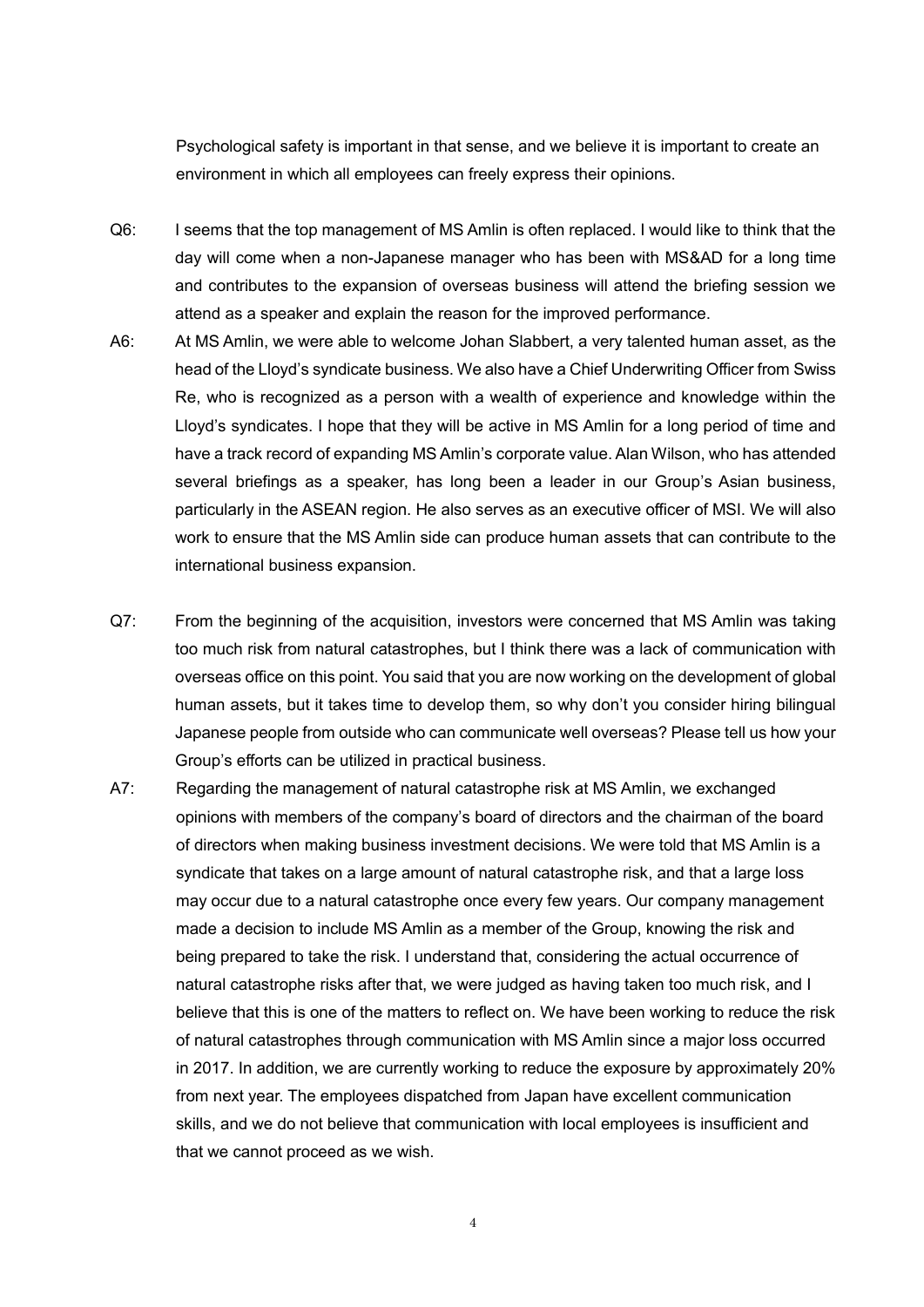Psychological safety is important in that sense, and we believe it is important to create an environment in which all employees can freely express their opinions.

- Q6: I seems that the top management of MS Amlin is often replaced. I would like to think that the day will come when a non-Japanese manager who has been with MS&AD for a long time and contributes to the expansion of overseas business will attend the briefing session we attend as a speaker and explain the reason for the improved performance.
- A6: At MS Amlin, we were able to welcome Johan Slabbert, a very talented human asset, as the head of the Lloyd's syndicate business. We also have a Chief Underwriting Officer from Swiss Re, who is recognized as a person with a wealth of experience and knowledge within the Lloyd's syndicates. I hope that they will be active in MS Amlin for a long period of time and have a track record of expanding MS Amlin's corporate value. Alan Wilson, who has attended several briefings as a speaker, has long been a leader in our Group's Asian business, particularly in the ASEAN region. He also serves as an executive officer of MSI. We will also work to ensure that the MS Amlin side can produce human assets that can contribute to the international business expansion.
- Q7: From the beginning of the acquisition, investors were concerned that MS Amlin was taking too much risk from natural catastrophes, but I think there was a lack of communication with overseas office on this point. You said that you are now working on the development of global human assets, but it takes time to develop them, so why don't you consider hiring bilingual Japanese people from outside who can communicate well overseas? Please tell us how your Group's efforts can be utilized in practical business.
- A7: Regarding the management of natural catastrophe risk at MS Amlin, we exchanged opinions with members of the company's board of directors and the chairman of the board of directors when making business investment decisions. We were told that MS Amlin is a syndicate that takes on a large amount of natural catastrophe risk, and that a large loss may occur due to a natural catastrophe once every few years. Our company management made a decision to include MS Amlin as a member of the Group, knowing the risk and being prepared to take the risk. I understand that, considering the actual occurrence of natural catastrophe risks after that, we were judged as having taken too much risk, and I believe that this is one of the matters to reflect on. We have been working to reduce the risk of natural catastrophes through communication with MS Amlin since a major loss occurred in 2017. In addition, we are currently working to reduce the exposure by approximately 20% from next year. The employees dispatched from Japan have excellent communication skills, and we do not believe that communication with local employees is insufficient and that we cannot proceed as we wish.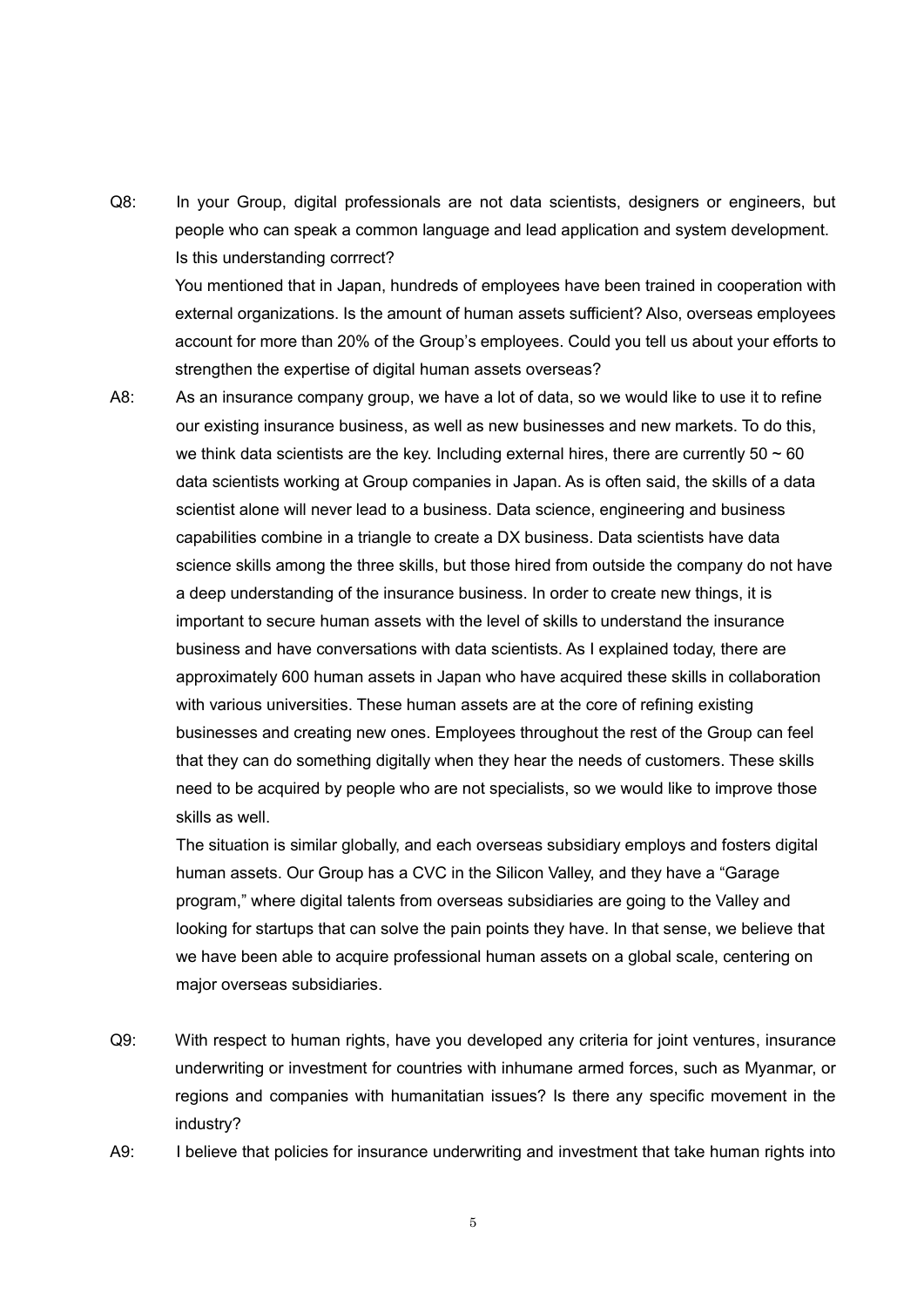Q8: In your Group, digital professionals are not data scientists, designers or engineers, but people who can speak a common language and lead application and system development. Is this understanding corrrect? You mentioned that in Japan, hundreds of employees have been trained in cooperation with external organizations. Is the amount of human assets sufficient? Also, overseas employees account for more than 20% of the Group's employees. Could you tell us about your efforts to

strengthen the expertise of digital human assets overseas?

A8: As an insurance company group, we have a lot of data, so we would like to use it to refine our existing insurance business, as well as new businesses and new markets. To do this, we think data scientists are the key. Including external hires, there are currently  $50 \sim 60$ data scientists working at Group companies in Japan. As is often said, the skills of a data scientist alone will never lead to a business. Data science, engineering and business capabilities combine in a triangle to create a DX business. Data scientists have data science skills among the three skills, but those hired from outside the company do not have a deep understanding of the insurance business. In order to create new things, it is important to secure human assets with the level of skills to understand the insurance business and have conversations with data scientists. As I explained today, there are approximately 600 human assets in Japan who have acquired these skills in collaboration with various universities. These human assets are at the core of refining existing businesses and creating new ones. Employees throughout the rest of the Group can feel that they can do something digitally when they hear the needs of customers. These skills need to be acquired by people who are not specialists, so we would like to improve those skills as well.

The situation is similar globally, and each overseas subsidiary employs and fosters digital human assets. Our Group has a CVC in the Silicon Valley, and they have a "Garage program," where digital talents from overseas subsidiaries are going to the Valley and looking for startups that can solve the pain points they have. In that sense, we believe that we have been able to acquire professional human assets on a global scale, centering on major overseas subsidiaries.

- Q9: With respect to human rights, have you developed any criteria for joint ventures, insurance underwriting or investment for countries with inhumane armed forces, such as Myanmar, or regions and companies with humanitatian issues? Is there any specific movement in the industry?
- A9: I believe that policies for insurance underwriting and investment that take human rights into

5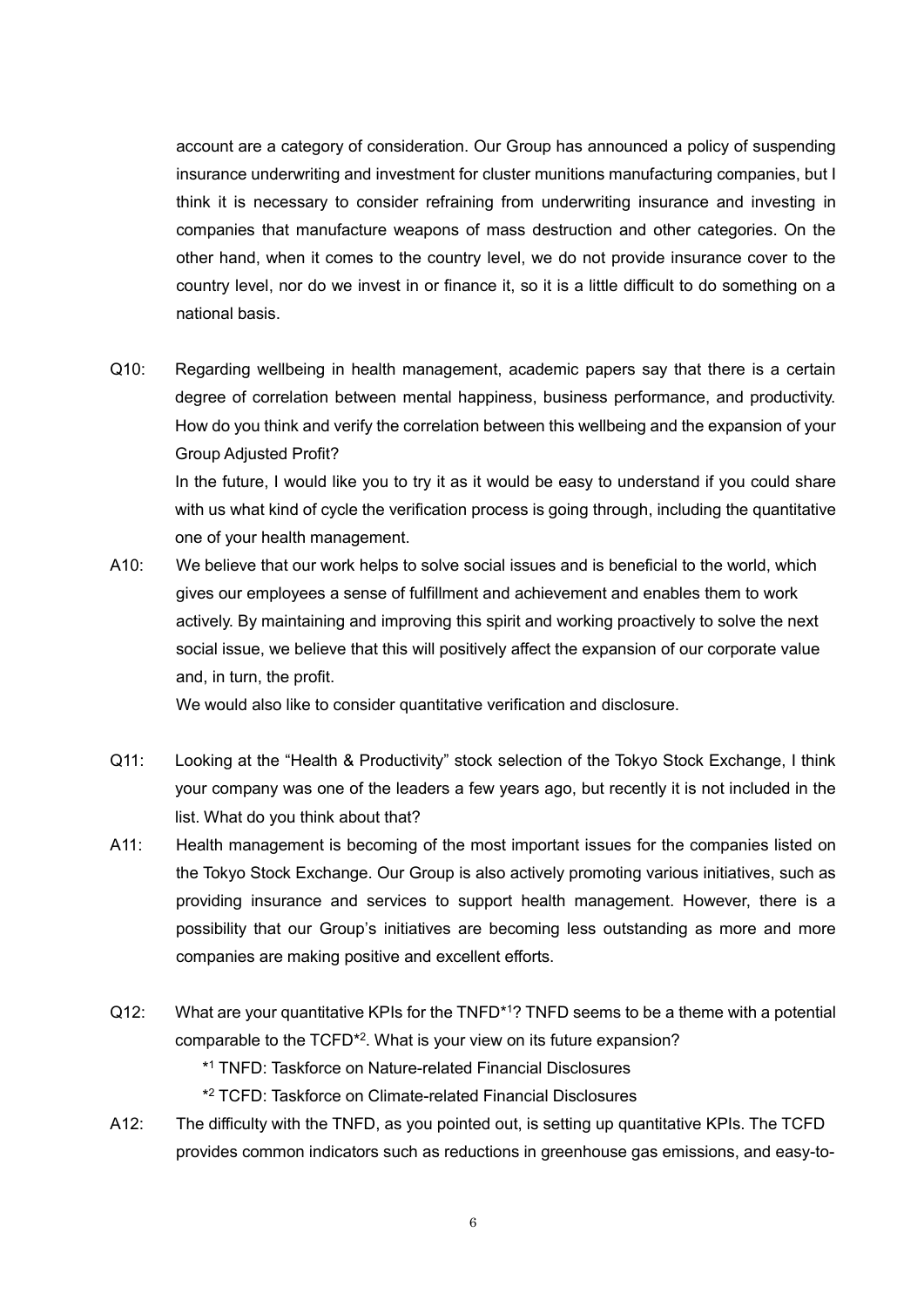account are a category of consideration. Our Group has announced a policy of suspending insurance underwriting and investment for cluster munitions manufacturing companies, but I think it is necessary to consider refraining from underwriting insurance and investing in companies that manufacture weapons of mass destruction and other categories. On the other hand, when it comes to the country level, we do not provide insurance cover to the country level, nor do we invest in or finance it, so it is a little difficult to do something on a national basis.

Q10: Regarding wellbeing in health management, academic papers say that there is a certain degree of correlation between mental happiness, business performance, and productivity. How do you think and verify the correlation between this wellbeing and the expansion of your Group Adjusted Profit?

In the future, I would like you to try it as it would be easy to understand if you could share with us what kind of cycle the verification process is going through, including the quantitative one of your health management.

A10: We believe that our work helps to solve social issues and is beneficial to the world, which gives our employees a sense of fulfillment and achievement and enables them to work actively. By maintaining and improving this spirit and working proactively to solve the next social issue, we believe that this will positively affect the expansion of our corporate value and, in turn, the profit.

We would also like to consider quantitative verification and disclosure.

- Q11: Looking at the "Health & Productivity" stock selection of the Tokyo Stock Exchange, I think your company was one of the leaders a few years ago, but recently it is not included in the list. What do you think about that?
- A11: Health management is becoming of the most important issues for the companies listed on the Tokyo Stock Exchange. Our Group is also actively promoting various initiatives, such as providing insurance and services to support health management. However, there is a possibility that our Group's initiatives are becoming less outstanding as more and more companies are making positive and excellent efforts.
- Q12: What are your quantitative KPIs for the TNFD<sup>\*1</sup>? TNFD seems to be a theme with a potential comparable to the TCFD<sup>\*2</sup>. What is your view on its future expansion?

\* <sup>1</sup> TNFD: Taskforce on Nature-related Financial Disclosures

\* <sup>2</sup> TCFD: Taskforce on Climate-related Financial Disclosures

A12: The difficulty with the TNFD, as you pointed out, is setting up quantitative KPIs. The TCFD provides common indicators such as reductions in greenhouse gas emissions, and easy-to